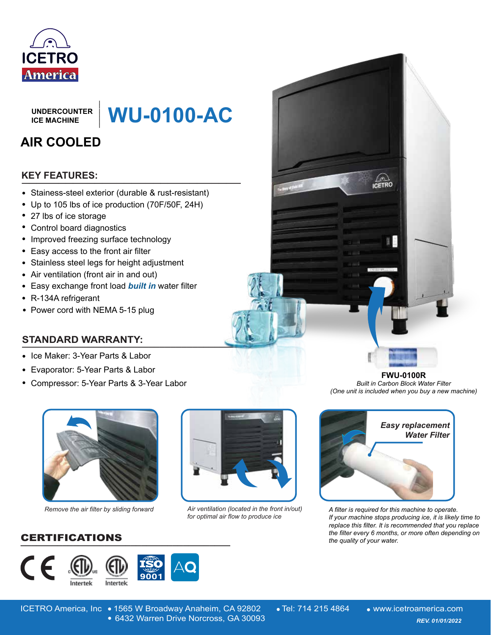

**ICE MACHINE**

UNDERCOUNTER | WU-0100-AC UNDERCOUNTER<br>
ICE MACHINE<br>
ICE MACHINE<br> **AIR COOLED**<br> **AIR COOLED**<br> **EXELURES:**<br>
• Up to 105 lbs of ice production (70F/50F, 24H)<br>
• 27 lbs of ice storage<br>
• Control board diagnostics<br>
• Improved freezing surface technolog

## **AIR COOLED**

## **\_\_\_\_\_\_\_\_\_\_\_\_\_\_\_\_\_\_\_\_\_\_\_\_\_\_\_\_\_\_ KEY FEATURES:**

- Stainess-steel exterior (durable & rust-resistant)
- Up to 105 lbs of ice production (70F/50F, 24H)
- 27 lbs of ice storage
- Control board diagnostics
- Improved freezing surface technology
- Easy access to the front air filter
- Stainless steel legs for height adjustment
- Air ventilation (front air in and out)
- Easy exchange front load *built in* water filter
- R-134A refrigerant
- Power cord with NEMA 5-15 plug

#### **STANDARD WARRANTY:**

- Ice Maker: 3-Year Parts & Labor
- Evaporator: 5-Year Parts & Labor
- Compressor: 5-Year Parts & 3-Year Labor



*Remove the air filter by sliding forward*

### **\_\_\_\_\_\_\_\_\_\_\_\_\_\_\_\_\_\_\_\_\_\_\_\_\_\_\_\_\_\_\_\_\_\_\_\_\_\_\_\_** CERTIFICATIONS





*Air ventilation (located in the front in/out) for optimal air flow to produce ice*



**LON** 

*Built in Carbon Block Water Filter (One unit is included when you buy a new machine)*



*A filter is required for this machine to operate. If your machine stops producing ice, it is likely time to replace this filter. It is recommended that you replace the filter every 6 months, or more often depending on the quality of your water.*

ICETRO America, Inc • 1565 W Broadway Anaheim, CA 92802 • Tel: 714 215 4864 • www.icetroamerica.com 6432 Warren Drive Norcross, GA 30093 *REV. 01/01/2022* 6432 Warren Drive Norcross, GA 30093